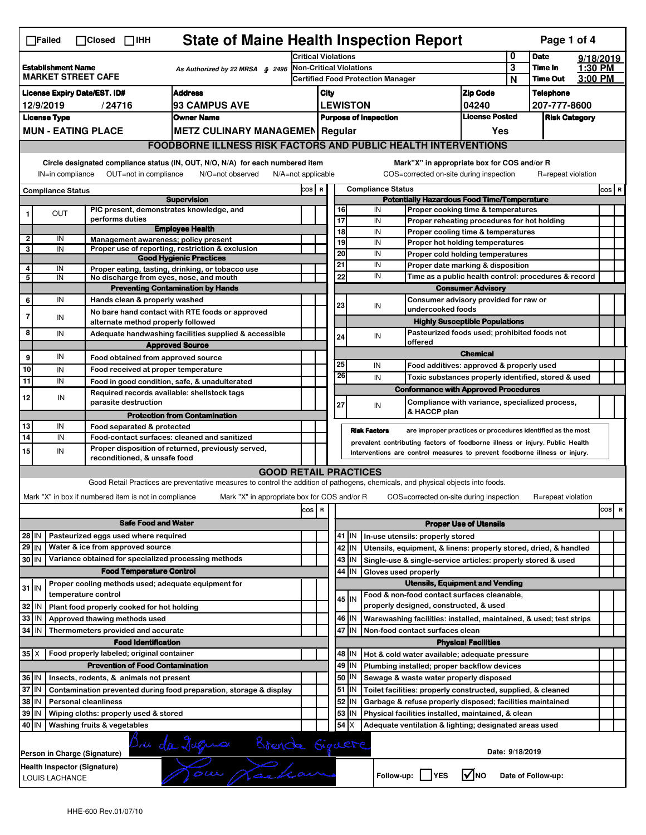| <b>State of Maine Health Inspection Report</b><br>Page 1 of 4<br>$\Box$ Failed<br>$\Box$ Closed $\Box$ IHH                                                                                                                                                      |                                                                                                   |  |                                                        |                    |         |   |  |  |  |
|-----------------------------------------------------------------------------------------------------------------------------------------------------------------------------------------------------------------------------------------------------------------|---------------------------------------------------------------------------------------------------|--|--------------------------------------------------------|--------------------|---------|---|--|--|--|
| Critical Violations                                                                                                                                                                                                                                             | 0                                                                                                 |  | <b>Date</b>                                            | 9/18/2019          |         |   |  |  |  |
| <b>Non-Critical Violations</b><br><b>Establishment Name</b><br>As Authorized by 22 MRSA § 2496<br><b>MARKET STREET CAFE</b><br><b>Certified Food Protection Manager</b>                                                                                         | 3<br>N                                                                                            |  | Time In<br><b>Time Out</b>                             | 1:30 PM<br>3:00 PM |         |   |  |  |  |
| <b>Address</b>                                                                                                                                                                                                                                                  |                                                                                                   |  |                                                        |                    |         |   |  |  |  |
| <b>Zip Code</b><br><b>License Expiry Date/EST. ID#</b><br>City<br><b>93 CAMPUS AVE</b><br><b>LEWISTON</b><br>04240<br>12/9/2019<br>/24716                                                                                                                       |                                                                                                   |  | <b>Telephone</b><br>207-777-8600                       |                    |         |   |  |  |  |
| <b>License Posted</b><br><b>License Type</b><br><b>Owner Name</b><br><b>Purpose of Inspection</b>                                                                                                                                                               |                                                                                                   |  | <b>Risk Category</b>                                   |                    |         |   |  |  |  |
| <b>MUN - EATING PLACE</b><br><b>METZ CULINARY MANAGEMEN Regular</b>                                                                                                                                                                                             | Yes                                                                                               |  |                                                        |                    |         |   |  |  |  |
| <b>FOODBORNE ILLNESS RISK FACTORS AND PUBLIC HEALTH INTERVENTIONS</b>                                                                                                                                                                                           |                                                                                                   |  |                                                        |                    |         |   |  |  |  |
| Circle designated compliance status (IN, OUT, N/O, N/A) for each numbered item<br>Mark"X" in appropriate box for COS and/or R<br>IN=in compliance<br>OUT=not in compliance<br>N/O=not observed<br>N/A=not applicable<br>COS=corrected on-site during inspection |                                                                                                   |  | R=repeat violation                                     |                    |         |   |  |  |  |
| <b>Compliance Status</b><br>COS R<br><b>Compliance Status</b>                                                                                                                                                                                                   |                                                                                                   |  |                                                        |                    | $cos$ R |   |  |  |  |
| <b>Potentially Hazardous Food Time/Temperature</b><br><b>Supervision</b>                                                                                                                                                                                        |                                                                                                   |  |                                                        |                    |         |   |  |  |  |
| PIC present, demonstrates knowledge, and<br>IN<br>16<br>Proper cooking time & temperatures<br><b>OUT</b><br>1<br>performs duties<br>17                                                                                                                          |                                                                                                   |  |                                                        |                    |         |   |  |  |  |
| IN<br>Proper reheating procedures for hot holding<br><b>Employee Health</b><br>18<br>IN<br>Proper cooling time & temperatures                                                                                                                                   |                                                                                                   |  |                                                        |                    |         |   |  |  |  |
| $\mathbf 2$<br>IN<br>Management awareness; policy present<br>19<br>IN<br>Proper hot holding temperatures                                                                                                                                                        |                                                                                                   |  |                                                        |                    |         |   |  |  |  |
| 3<br>IN<br>Proper use of reporting, restriction & exclusion<br>20<br>IN<br>Proper cold holding temperatures<br><b>Good Hygienic Practices</b>                                                                                                                   |                                                                                                   |  |                                                        |                    |         |   |  |  |  |
| 21<br>IN<br>Proper date marking & disposition<br>4<br>IN<br>Proper eating, tasting, drinking, or tobacco use                                                                                                                                                    |                                                                                                   |  |                                                        |                    |         |   |  |  |  |
| 22<br>IN<br>Time as a public health control: procedures & record<br>5<br>IN<br>No discharge from eyes, nose, and mouth                                                                                                                                          |                                                                                                   |  |                                                        |                    |         |   |  |  |  |
| <b>Preventing Contamination by Hands</b><br><b>Consumer Advisory</b>                                                                                                                                                                                            |                                                                                                   |  |                                                        |                    |         |   |  |  |  |
| IN<br>Consumer advisory provided for raw or<br>6<br>Hands clean & properly washed<br>23<br>IN                                                                                                                                                                   |                                                                                                   |  |                                                        |                    |         |   |  |  |  |
| undercooked foods<br>No bare hand contact with RTE foods or approved<br>7<br>IN                                                                                                                                                                                 |                                                                                                   |  |                                                        |                    |         |   |  |  |  |
| <b>Highly Susceptible Populations</b><br>alternate method properly followed<br>Pasteurized foods used; prohibited foods not<br>8                                                                                                                                |                                                                                                   |  |                                                        |                    |         |   |  |  |  |
| IN<br>Adequate handwashing facilities supplied & accessible<br>24<br>IN<br>offered<br><b>Approved Source</b>                                                                                                                                                    |                                                                                                   |  |                                                        |                    |         |   |  |  |  |
| <b>Chemical</b><br>IN<br>9<br>Food obtained from approved source                                                                                                                                                                                                |                                                                                                   |  |                                                        |                    |         |   |  |  |  |
| 25<br>IN<br>Food additives: approved & properly used<br>10<br>Food received at proper temperature<br>IN                                                                                                                                                         |                                                                                                   |  |                                                        |                    |         |   |  |  |  |
| 26<br>IN<br>Toxic substances properly identified, stored & used<br>11<br>IN<br>Food in good condition, safe, & unadulterated                                                                                                                                    |                                                                                                   |  |                                                        |                    |         |   |  |  |  |
| <b>Conformance with Approved Procedures</b><br>Required records available: shellstock tags                                                                                                                                                                      |                                                                                                   |  |                                                        |                    |         |   |  |  |  |
| 12<br>IN<br>parasite destruction<br>Compliance with variance, specialized process,<br>27<br>IN                                                                                                                                                                  |                                                                                                   |  |                                                        |                    |         |   |  |  |  |
| & HACCP plan<br><b>Protection from Contamination</b>                                                                                                                                                                                                            |                                                                                                   |  |                                                        |                    |         |   |  |  |  |
| 13<br>IN<br>Food separated & protected<br><b>Risk Factors</b><br>are improper practices or procedures identified as the most                                                                                                                                    |                                                                                                   |  |                                                        |                    |         |   |  |  |  |
| 14<br>IN<br>Food-contact surfaces: cleaned and sanitized<br>prevalent contributing factors of foodborne illness or injury. Public Health                                                                                                                        |                                                                                                   |  |                                                        |                    |         |   |  |  |  |
| Proper disposition of returned, previously served,<br>15<br>IN<br>Interventions are control measures to prevent foodborne illness or injury.<br>reconditioned, & unsafe food                                                                                    |                                                                                                   |  |                                                        |                    |         |   |  |  |  |
| <b>GOOD RETAIL PRACTICES</b>                                                                                                                                                                                                                                    |                                                                                                   |  |                                                        |                    |         |   |  |  |  |
| Good Retail Practices are preventative measures to control the addition of pathogens, chemicals, and physical objects into foods.                                                                                                                               |                                                                                                   |  |                                                        |                    |         |   |  |  |  |
| Mark "X" in box if numbered item is not in compliance<br>Mark "X" in appropriate box for COS and/or R<br>COS=corrected on-site during inspection                                                                                                                |                                                                                                   |  | R=repeat violation                                     |                    |         |   |  |  |  |
| cos R                                                                                                                                                                                                                                                           |                                                                                                   |  |                                                        |                    | cos     | R |  |  |  |
| <b>Safe Food and Water</b><br><b>Proper Use of Utensils</b>                                                                                                                                                                                                     |                                                                                                   |  |                                                        |                    |         |   |  |  |  |
| Pasteurized eggs used where required<br>28 IN                                                                                                                                                                                                                   |                                                                                                   |  |                                                        |                    |         |   |  |  |  |
| 41   IN   In-use utensils: properly stored<br>29 IN<br>Water & ice from approved source<br>42   IN<br>Utensils, equipment, & linens: properly stored, dried, & handled                                                                                          |                                                                                                   |  |                                                        |                    |         |   |  |  |  |
| Variance obtained for specialized processing methods<br>30 IN<br>43 IN<br>Single-use & single-service articles: properly stored & used                                                                                                                          |                                                                                                   |  |                                                        |                    |         |   |  |  |  |
| 44<br><b>Food Temperature Control</b><br>IN<br>Gloves used properly                                                                                                                                                                                             |                                                                                                   |  |                                                        |                    |         |   |  |  |  |
| <b>Utensils, Equipment and Vending</b><br>Proper cooling methods used; adequate equipment for                                                                                                                                                                   |                                                                                                   |  |                                                        |                    |         |   |  |  |  |
| $31$ IN<br>temperature control<br>Food & non-food contact surfaces cleanable,<br>45 IN                                                                                                                                                                          |                                                                                                   |  |                                                        |                    |         |   |  |  |  |
| properly designed, constructed, & used<br>32 IN<br>Plant food properly cooked for hot holding                                                                                                                                                                   |                                                                                                   |  |                                                        |                    |         |   |  |  |  |
| 46 IN<br>33   IN<br>Approved thawing methods used<br>Warewashing facilities: installed, maintained, & used; test strips                                                                                                                                         |                                                                                                   |  |                                                        |                    |         |   |  |  |  |
| 47<br>34 IN<br>IN<br>Non-food contact surfaces clean<br>Thermometers provided and accurate                                                                                                                                                                      |                                                                                                   |  |                                                        |                    |         |   |  |  |  |
| <b>Food Identification</b><br><b>Physical Facilities</b>                                                                                                                                                                                                        |                                                                                                   |  |                                                        |                    |         |   |  |  |  |
| $35$ $\times$<br>Food properly labeled; original container<br>48   IN<br>Hot & cold water available; adequate pressure                                                                                                                                          |                                                                                                   |  |                                                        |                    |         |   |  |  |  |
| <b>Prevention of Food Contamination</b><br>49 IN<br>Plumbing installed; proper backflow devices                                                                                                                                                                 |                                                                                                   |  |                                                        |                    |         |   |  |  |  |
| 36 IN<br>50 <br> IN<br>Insects, rodents, & animals not present<br>Sewage & waste water properly disposed                                                                                                                                                        |                                                                                                   |  |                                                        |                    |         |   |  |  |  |
| 37 IN<br>51 J IN<br>Toilet facilities: properly constructed, supplied, & cleaned<br>Contamination prevented during food preparation, storage & display                                                                                                          |                                                                                                   |  |                                                        |                    |         |   |  |  |  |
| 52 IN<br>38   IN<br><b>Personal cleanliness</b><br>Garbage & refuse properly disposed; facilities maintained                                                                                                                                                    |                                                                                                   |  |                                                        |                    |         |   |  |  |  |
|                                                                                                                                                                                                                                                                 | Wiping cloths: properly used & stored<br>Physical facilities installed, maintained, & clean<br>IN |  |                                                        |                    |         |   |  |  |  |
| 39 IN<br>53                                                                                                                                                                                                                                                     |                                                                                                   |  | Adequate ventilation & lighting; designated areas used |                    |         |   |  |  |  |
| 40 IN<br>54<br>X<br>Washing fruits & vegetables                                                                                                                                                                                                                 |                                                                                                   |  |                                                        |                    |         |   |  |  |  |
| Bru da Duqua Brende Giguere<br>Person in Charge (Signature)                                                                                                                                                                                                     | Date: 9/18/2019                                                                                   |  |                                                        |                    |         |   |  |  |  |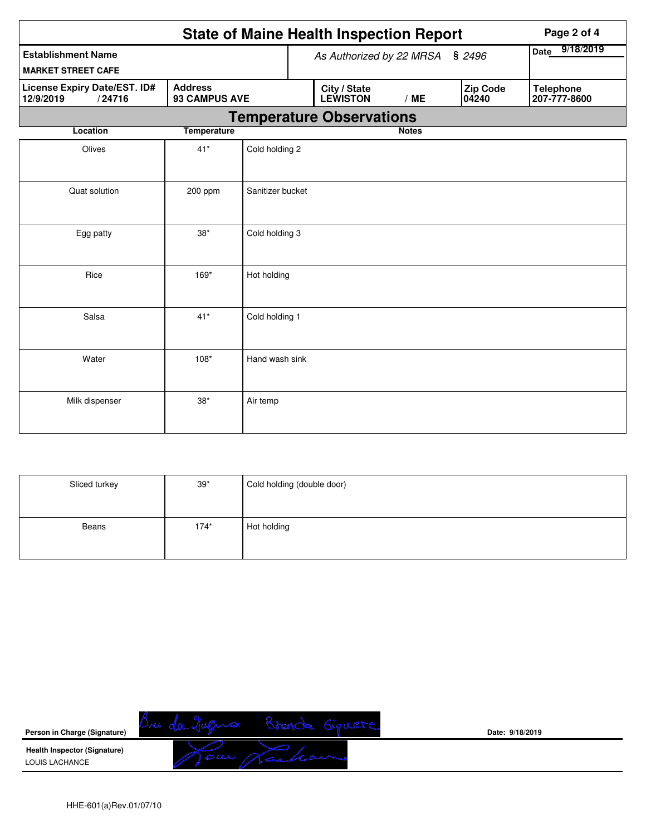|                                                            |                                        |                  |  | <b>State of Maine Health Inspection Report</b> |              |                          | Page 2 of 4                      |
|------------------------------------------------------------|----------------------------------------|------------------|--|------------------------------------------------|--------------|--------------------------|----------------------------------|
| <b>Establishment Name</b>                                  |                                        |                  |  | As Authorized by 22 MRSA                       |              | \$2496                   | 9/18/2019<br>Date                |
| <b>MARKET STREET CAFE</b>                                  |                                        |                  |  |                                                |              |                          |                                  |
| <b>License Expiry Date/EST. ID#</b><br>/24716<br>12/9/2019 | <b>Address</b><br><b>93 CAMPUS AVE</b> |                  |  | City / State<br><b>LEWISTON</b>                | /ME          | <b>Zip Code</b><br>04240 | <b>Telephone</b><br>207-777-8600 |
|                                                            |                                        |                  |  | <b>Temperature Observations</b>                |              |                          |                                  |
| <b>Location</b>                                            | <b>Temperature</b>                     |                  |  |                                                | <b>Notes</b> |                          |                                  |
| Olives                                                     | $41*$                                  | Cold holding 2   |  |                                                |              |                          |                                  |
| Quat solution                                              | 200 ppm                                | Sanitizer bucket |  |                                                |              |                          |                                  |
| Egg patty                                                  | $38*$                                  | Cold holding 3   |  |                                                |              |                          |                                  |
| Rice                                                       | 169*                                   | Hot holding      |  |                                                |              |                          |                                  |
| Salsa                                                      | $41*$                                  | Cold holding 1   |  |                                                |              |                          |                                  |
| Water                                                      | $108*$                                 | Hand wash sink   |  |                                                |              |                          |                                  |
| Milk dispenser                                             | $38*$                                  | Air temp         |  |                                                |              |                          |                                  |

| Sliced turkey | $39*$  | Cold holding (double door) |
|---------------|--------|----------------------------|
| Beans         | $174*$ | Hot holding                |

| Person in Charge (Signature)                          | Date: 9/18/2019 |
|-------------------------------------------------------|-----------------|
| <b>Health Inspector (Signature)</b><br>LOUIS LACHANCE |                 |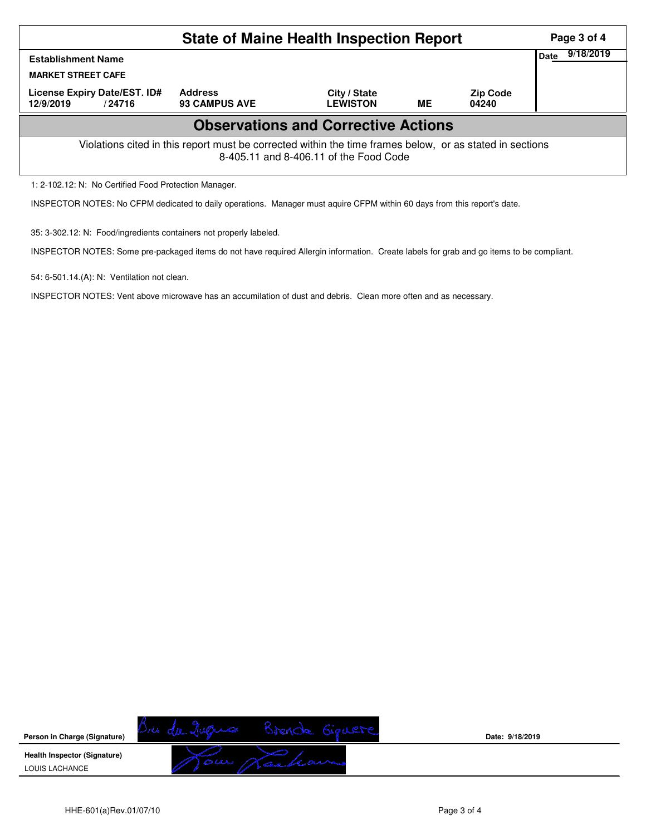| <b>State of Maine Health Inspection Report</b>                                                                                                     |                                        |                                 |           |                          |             | Page 3 of 4 |  |  |
|----------------------------------------------------------------------------------------------------------------------------------------------------|----------------------------------------|---------------------------------|-----------|--------------------------|-------------|-------------|--|--|
| <b>Establishment Name</b><br><b>MARKET STREET CAFE</b>                                                                                             |                                        |                                 |           |                          | <b>Date</b> | 9/18/2019   |  |  |
| License Expiry Date/EST. ID#<br>12/9/2019<br>/24716                                                                                                | <b>Address</b><br><b>93 CAMPUS AVE</b> | City / State<br><b>LEWISTON</b> | <b>ME</b> | <b>Zip Code</b><br>04240 |             |             |  |  |
| <b>Observations and Corrective Actions</b>                                                                                                         |                                        |                                 |           |                          |             |             |  |  |
| Violations cited in this report must be corrected within the time frames below, or as stated in sections<br>8-405.11 and 8-406.11 of the Food Code |                                        |                                 |           |                          |             |             |  |  |
| 1: 2-102.12: N: No Certified Food Protection Manager.                                                                                              |                                        |                                 |           |                          |             |             |  |  |

INSPECTOR NOTES: No CFPM dedicated to daily operations. Manager must aquire CFPM within 60 days from this report's date.

35: 3-302.12: N: Food/ingredients containers not properly labeled.

INSPECTOR NOTES: Some pre-packaged items do not have required Allergin information. Create labels for grab and go items to be compliant.

54: 6-501.14.(A): N: Ventilation not clean.

INSPECTOR NOTES: Vent above microwave has an accumilation of dust and debris. Clean more often and as necessary.